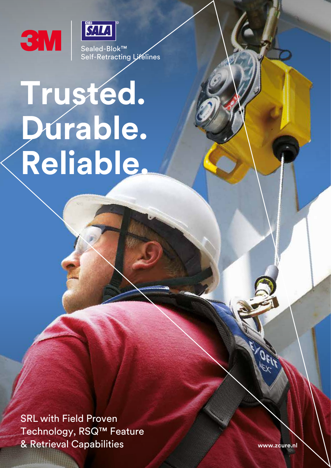



Sealed-Blok™ Self-Retracting Lifelines

# **Trusted. Durable. Reliable.**

SRL with Field Proven Technology, RSQ™ Feature & Retrieval Capabilities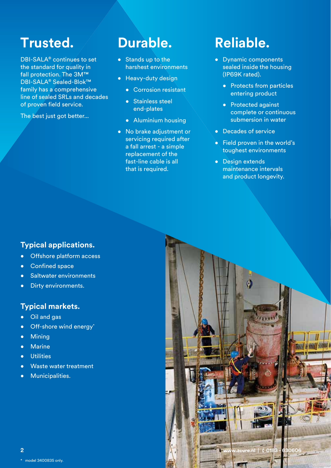## **Trusted.**

DBI-SALA® continues to set the standard for quality in fall protection. The 3M™ DBI-SALA® Sealed-Blok™ family has a comprehensive line of sealed SRLs and decades of proven field service.

The best just got better...

### **Durable.**

- Stands up to the harshest environments
- Heavy-duty design
	- Corrosion resistant
	- Stainless steel end-plates
	- Aluminium housing
- No brake adjustment or servicing required after a fall arrest - a simple replacement of the fast-line cable is all that is required.

# **Reliable.**

- Dynamic components sealed inside the housing (IP69K rated).
	- Protects from particles entering product
	- Protected against complete or continuous submersion in water
- Decades of service
- Field proven in the world's toughest environments
- Design extends maintenance intervals and product longevity.

#### **Typical applications.**

- Offshore platform access
- Confined space
- Saltwater environments
- Dirty environments.

#### **Typical markets.**

- Oil and gas
- Off-shore wind energy\*
- Mining
- Marine
- Utilities
- Waste water treatment
- Municipalities.

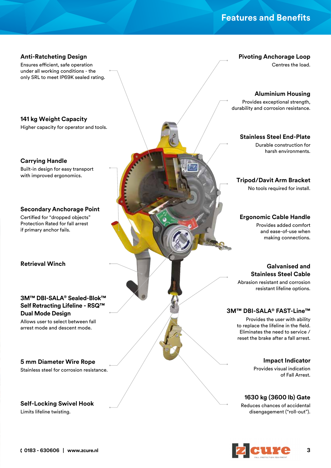#### **Features and Benefits**

#### **Anti-Ratcheting Design**

Ensures efficient, safe operation under all working conditions - the only SRL to meet IP69K sealed rating.

**141 kg Weight Capacity**

Higher capacity for operator and tools.

**Carrying Handle** Built-in design for easy transport with improved ergonomics.

**Secondary Anchorage Point**

Certified for "dropped objects" Protection Rated for fall arrest if primary anchor fails.

**Retrieval Winch**

#### **3M™ DBI-SALA® Sealed-Blok™ Self Retracting Lifeline - RSQ™ Dual Mode Design**

Allows user to select between fall arrest mode and descent mode.

#### **5 mm Diameter Wire Rope**

Stainless steel for corrosion resistance.

#### **Self-Locking Swivel Hook**

Limits lifeline twisting.

**Pivoting Anchorage Loop**

Centres the load.

#### **Aluminium Housing**

Provides exceptional strength, durability and corrosion resistance.

#### **Stainless Steel End-Plate**

Durable construction for harsh environments.

#### **Tripod/Davit Arm Bracket**

No tools required for install.

#### **Ergonomic Cable Handle**

Provides added comfort and ease-of-use when making connections.

#### **Galvanised and Stainless Steel Cable**

Abrasion resistant and corrosion resistant lifeline options.

#### **3M™ DBI-SALA® FAST-Line™**

Provides the user with ability to replace the lifeline in the field. Eliminates the need to service / reset the brake after a fall arrest.

#### **Impact Indicator**

Provides visual indication of Fall Arrest.

#### **1630 kg (3600 lb) Gate**

Reduces chances of accidental disengagement ("roll-out").

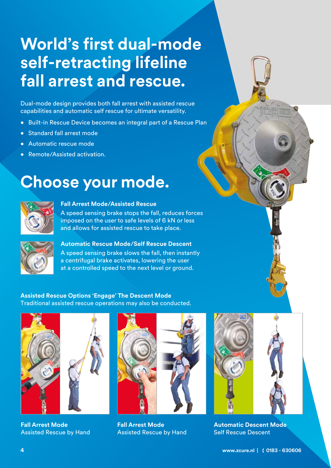# **World's first dual-mode self-retracting lifeline fall arrest and rescue.**

Dual-mode design provides both fall arrest with assisted rescue capabilities and automatic self rescue for ultimate versatility.

- Built-in Rescue Device becomes an integral part of a Rescue Plan
- Standard fall arrest mode
- Automatic rescue mode
- Remote/Assisted activation.

# **Choose your mode.**



#### **Fall Arrest Mode/Assisted Rescue**

A speed sensing brake stops the fall, reduces forces imposed on the user to safe levels of 6 kN or less and allows for assisted rescue to take place.



**Automatic Rescue Mode/Self Rescue Descent**

A speed sensing brake slows the fall, then instantly a centrifugal brake activates, lowering the user at a controlled speed to the next level or ground.

**Assisted Rescue Options 'Engage' The Descent Mode** Traditional assisted rescue operations may also be conducted.



**Fall Arrest Mode**  Assisted Rescue by Hand



**Fall Arrest Mode**  Assisted Rescue by Hand



**Automatic Descent Mode** Self Rescue Descent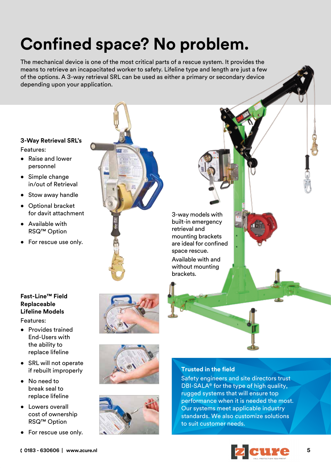# **Confined space? No problem.**

The mechanical device is one of the most critical parts of a rescue system. It provides the means to retrieve an incapacitated worker to safety. Lifeline type and length are just a few of the options. A 3-way retrieval SRL can be used as either a primary or secondary device depending upon your application.

#### **3-Way Retrieval SRL's** Features:

- Raise and lower personnel
- Simple change in/out of Retrieval
- Stow away handle
- Optional bracket for davit attachment
- Available with RSQ™ Option
- For rescue use only.

#### **Fast-Line™ Field Replaceable Lifeline Models**

- Features:
- Provides trained End-Users with the ability to replace lifeline
- SRL will not operate if rebuilt improperly
- No need to break seal to replace lifeline
- Lowers overall cost of ownership RSQ™ Option
- For rescue use only.



3-way models with built-in emergency retrieval and mounting brackets are ideal for confined space rescue. Available with and without mounting brackets.







#### **Trusted in the field**

Safety engineers and site directors trust DBI-SALA® for the type of high quality, rugged systems that will ensure top performance when it is needed the most. Our systems meet applicable industry standards. We also customize solutions to suit customer needs.

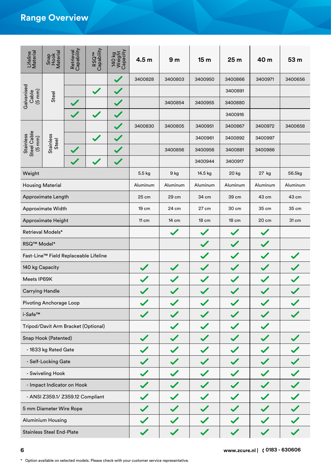### **Range Overview**

| Lifeline<br>Material                                | Snap<br>Hook<br>Material              | Retrieval<br>Capability | RSQ <sup>TM</sup><br>Capability | 140 kg<br>Weight<br>Capacity | 4.5 <sub>m</sub> | 9 <sub>m</sub> | 15 <sub>m</sub> | 25 <sub>m</sub> | 40 m                          | 53 m     |
|-----------------------------------------------------|---------------------------------------|-------------------------|---------------------------------|------------------------------|------------------|----------------|-----------------|-----------------|-------------------------------|----------|
| Galvanised<br>$(5 \text{ mm})$<br>Cable             | Steel                                 |                         |                                 |                              | 3400828          | 3400803        | 3400950         | 3400866         | 3400971                       | 3400656  |
|                                                     |                                       |                         | $\blacktriangledown$            |                              |                  |                |                 | 3400891         |                               |          |
|                                                     |                                       |                         |                                 |                              |                  | 3400854        | 3400955         | 3400880         |                               |          |
|                                                     |                                       |                         | $\checkmark$                    |                              |                  |                |                 | 3400916         |                               |          |
| Steel Cable<br><b>Stainless</b><br>$(5 \text{ mm})$ | <b>Stainless</b><br>Steel             |                         |                                 |                              | 3400830          | 3400805        | 3400951         | 3400867         | 3400972                       | 3400658  |
|                                                     |                                       |                         |                                 |                              |                  |                | 3400961         | 3400892         | 3400997                       |          |
|                                                     |                                       |                         |                                 |                              |                  | 3400856        | 3400956         | 3400881         | 3400986                       |          |
|                                                     |                                       |                         |                                 |                              |                  |                | 3400944         | 3400917         |                               |          |
| Weight                                              |                                       |                         |                                 |                              | 5.5 kg           | 9 kg           | 14.5 kg         | 20 kg           | 27 kg                         | 56.5kg   |
| <b>Housing Material</b>                             |                                       |                         |                                 |                              | Aluminum         | Aluminum       | Aluminum        | Aluminum        | Aluminum                      | Aluminum |
|                                                     | Approximate Length                    |                         |                                 |                              | 25 cm            | 29 cm          | 34 cm           | 39 cm           | 43 cm                         | 43 cm    |
|                                                     | Approximate Width                     |                         |                                 |                              | 19 cm            | 24 cm          | 27 cm           | 30 cm           | 35 cm                         | 35 cm    |
| Approximate Height                                  |                                       |                         | 11 cm                           | 14 cm                        | 18 cm            | <b>18 cm</b>   | 20 cm           | 31 cm           |                               |          |
|                                                     | Retrieval Models*                     |                         |                                 |                              |                  |                |                 |                 |                               |          |
| RSQ <sup>™</sup> Model*                             |                                       |                         |                                 |                              |                  |                |                 |                 |                               |          |
|                                                     | Fast-Line™ Field Replaceable Lifeline |                         |                                 |                              |                  |                |                 |                 |                               |          |
| 140 kg Capacity                                     |                                       |                         |                                 |                              |                  |                |                 |                 |                               |          |
| Meets IP69K                                         |                                       |                         |                                 |                              |                  |                |                 |                 |                               |          |
| <b>Carrying Handle</b>                              |                                       |                         |                                 |                              |                  |                |                 |                 |                               |          |
|                                                     | <b>Pivoting Anchorage Loop</b>        |                         |                                 |                              |                  |                |                 |                 |                               |          |
| i-Safe™                                             |                                       |                         |                                 |                              |                  |                |                 |                 |                               |          |
|                                                     | Tripod/Davit Arm Bracket (Optional)   |                         |                                 |                              |                  |                |                 |                 |                               |          |
| Snap Hook (Patented)                                |                                       |                         |                                 |                              |                  |                |                 |                 |                               |          |
|                                                     | - 1633 kg Rated Gate                  |                         |                                 |                              |                  |                |                 |                 |                               |          |
| - Self-Locking Gate                                 |                                       |                         |                                 |                              |                  |                |                 |                 |                               |          |
| - Swiveling Hook                                    |                                       |                         |                                 |                              |                  |                |                 |                 |                               |          |
| - Impact Indicator on Hook                          |                                       |                         |                                 |                              |                  |                |                 |                 |                               |          |
| - ANSI Z359.1/ Z359.12 Compliant                    |                                       |                         |                                 |                              |                  |                |                 |                 |                               |          |
| 5 mm Diameter Wire Rope                             |                                       |                         |                                 |                              |                  |                |                 |                 |                               |          |
| <b>Aluminium Housing</b>                            |                                       |                         |                                 |                              |                  |                |                 |                 |                               |          |
| <b>Stainless Steel End-Plate</b>                    |                                       |                         |                                 |                              |                  |                |                 |                 |                               |          |
| 6                                                   |                                       |                         |                                 |                              |                  |                |                 |                 | www.zcure.nl   (0183 - 630606 |          |